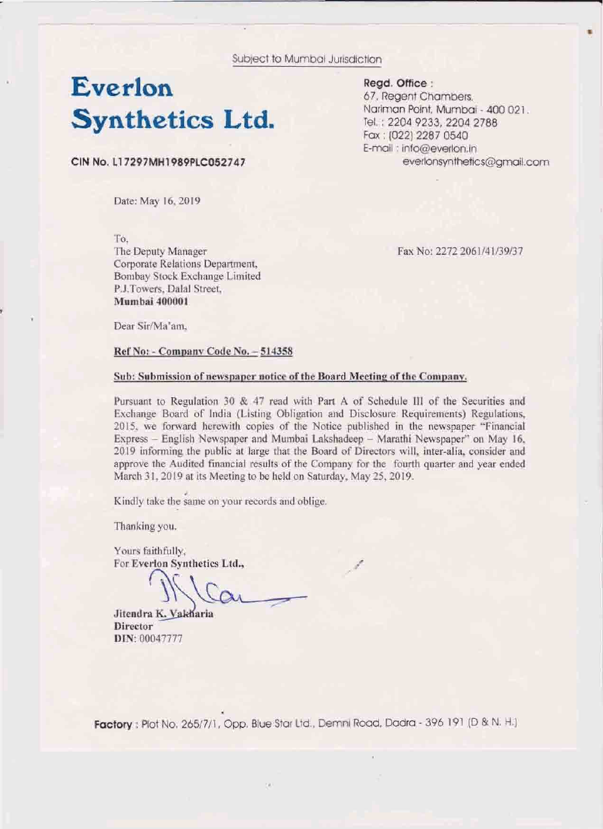Subject to Mumbai Jurisdiction

## Everlon **Synthetics Ltd.**

CIN No. L17297MH1989PLC052747

Date: May 16, 2019.

To. The Deputy Manager Corporate Relations Department, Bombay Stock Exchange Limited P.J.Towers, Dalal Street. Mumbai 400001

Fax No: 2272 2061/41/39/37

everlonsynthetics@gmail.com

Read. Office:

67, Regent Chambers,

Tel.: 2204 9233, 2204 2788 Fax: (022) 2287 0540 E-mail : info@everlon.in

Nariman Point, Mumbai - 400 021.

Dear Sir/Ma'am.

## Ref No: - Company Code No. - 514358

## Sub: Submission of newspaper notice of the Board Meeting of the Company.

Pursuant to Regulation 30 & 47 read with Part A of Schedule III of the Securities and Exchange Board of India (Listing Obligation and Disclosure Requirements) Regulations, 2015, we forward herewith copies of the Notice published in the newspaper "Financial Express - English Newspaper and Mumbai Lakshadeep - Marathi Newspaper" on May 16, 2019 informing the public at large that the Board of Directors will, inter-alia, consider and approve the Audited financial results of the Company for the fourth quarter and year ended March 31, 2019 at its Meeting to be held on Saturday, May 25, 2019.

Kindly take the same on your records and oblige.

Thanking you.

Yours faithfully. For Everlon Synthetics Ltd.,

Jitendra K. Vakharia **Director** DIN: 00047777

Factory: Plot No. 265/7/1, Opp. Blue Star Ltd., Demni Road, Dadra - 396 191 (D & N. H.)